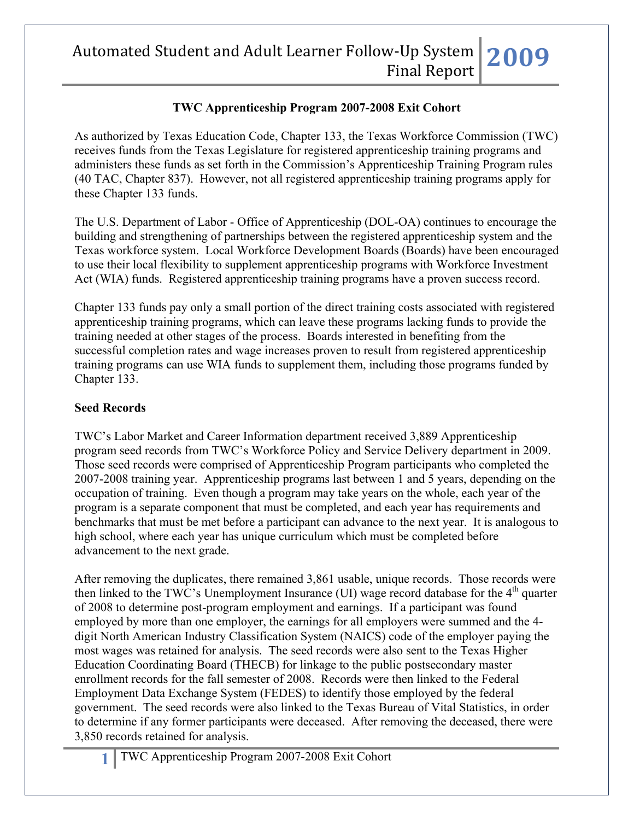## **TWC Apprenticeship Program 2007-2008 Exit Cohort**

As authorized by Texas Education Code, Chapter 133, the Texas Workforce Commission (TWC) receives funds from the Texas Legislature for registered apprenticeship training programs and administers these funds as set forth in the Commission's Apprenticeship Training Program rules (40 TAC, Chapter 837). However, not all registered apprenticeship training programs apply for these Chapter 133 funds.

The U.S. Department of Labor - Office of Apprenticeship (DOL-OA) continues to encourage the building and strengthening of partnerships between the registered apprenticeship system and the Texas workforce system. Local Workforce Development Boards (Boards) have been encouraged to use their local flexibility to supplement apprenticeship programs with Workforce Investment Act (WIA) funds. Registered apprenticeship training programs have a proven success record.

Chapter 133 funds pay only a small portion of the direct training costs associated with registered apprenticeship training programs, which can leave these programs lacking funds to provide the training needed at other stages of the process. Boards interested in benefiting from the successful completion rates and wage increases proven to result from registered apprenticeship training programs can use WIA funds to supplement them, including those programs funded by Chapter 133.

#### **Seed Records**

TWC's Labor Market and Career Information department received 3,889 Apprenticeship program seed records from TWC's Workforce Policy and Service Delivery department in 2009. Those seed records were comprised of Apprenticeship Program participants who completed the 2007-2008 training year. Apprenticeship programs last between 1 and 5 years, depending on the occupation of training. Even though a program may take years on the whole, each year of the program is a separate component that must be completed, and each year has requirements and benchmarks that must be met before a participant can advance to the next year. It is analogous to high school, where each year has unique curriculum which must be completed before advancement to the next grade.

After removing the duplicates, there remained 3,861 usable, unique records. Those records were then linked to the TWC's Unemployment Insurance (UI) wage record database for the  $4<sup>th</sup>$  quarter of 2008 to determine post-program employment and earnings. If a participant was found employed by more than one employer, the earnings for all employers were summed and the 4 digit North American Industry Classification System (NAICS) code of the employer paying the most wages was retained for analysis. The seed records were also sent to the Texas Higher Education Coordinating Board (THECB) for linkage to the public postsecondary master enrollment records for the fall semester of 2008. Records were then linked to the Federal Employment Data Exchange System (FEDES) to identify those employed by the federal government. The seed records were also linked to the Texas Bureau of Vital Statistics, in order to determine if any former participants were deceased. After removing the deceased, there were 3,850 records retained for analysis.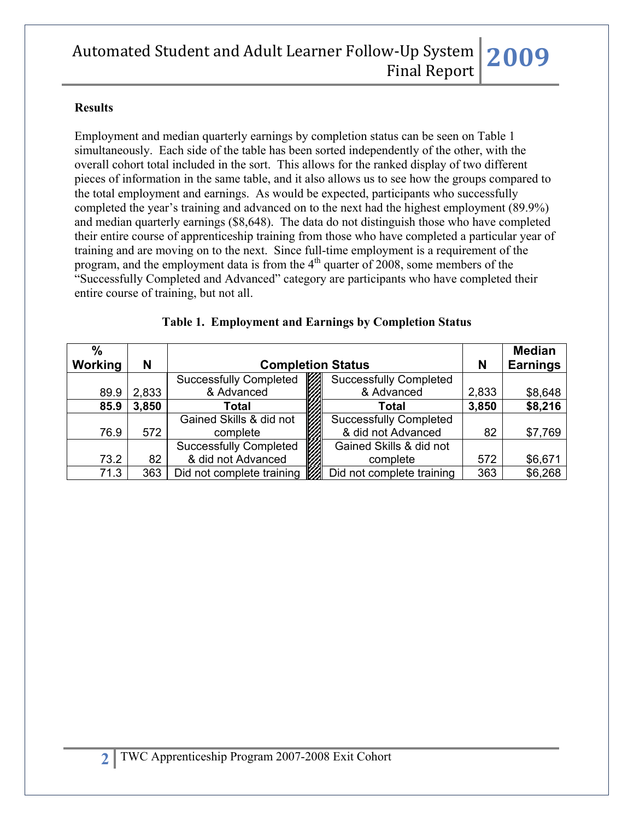#### **Results**

Employment and median quarterly earnings by completion status can be seen on Table 1 simultaneously. Each side of the table has been sorted independently of the other, with the overall cohort total included in the sort. This allows for the ranked display of two different pieces of information in the same table, and it also allows us to see how the groups compared to the total employment and earnings. As would be expected, participants who successfully completed the year's training and advanced on to the next had the highest employment (89.9%) and median quarterly earnings (\$8,648). The data do not distinguish those who have completed their entire course of apprenticeship training from those who have completed a particular year of training and are moving on to the next. Since full-time employment is a requirement of the program, and the employment data is from the  $4<sup>th</sup>$  quarter of 2008, some members of the "Successfully Completed and Advanced" category are participants who have completed their entire course of training, but not all.

| $\frac{0}{0}$<br>Working | N     | <b>Completion Status</b>      |                               |       | <b>Median</b><br><b>Earnings</b> |
|--------------------------|-------|-------------------------------|-------------------------------|-------|----------------------------------|
|                          |       | <b>Successfully Completed</b> | <b>Successfully Completed</b> |       |                                  |
| 89.9                     | 2,833 | & Advanced                    | & Advanced                    | 2,833 | \$8,648                          |
| 85.9                     | 3,850 | Total                         | 3,850<br>Total                |       | \$8,216                          |
|                          |       | Gained Skills & did not       | <b>Successfully Completed</b> |       |                                  |
| 76.9                     | 572   | complete                      | & did not Advanced            | 82    | \$7,769                          |
|                          |       | <b>Successfully Completed</b> | Gained Skills & did not       |       |                                  |
| 73.2                     | 82    | & did not Advanced            | complete                      | 572   | \$6,671                          |
| 71.3                     | 363   | Did not complete training     | Did not complete training     | 363   | \$6,268                          |

#### **Table 1. Employment and Earnings by Completion Status**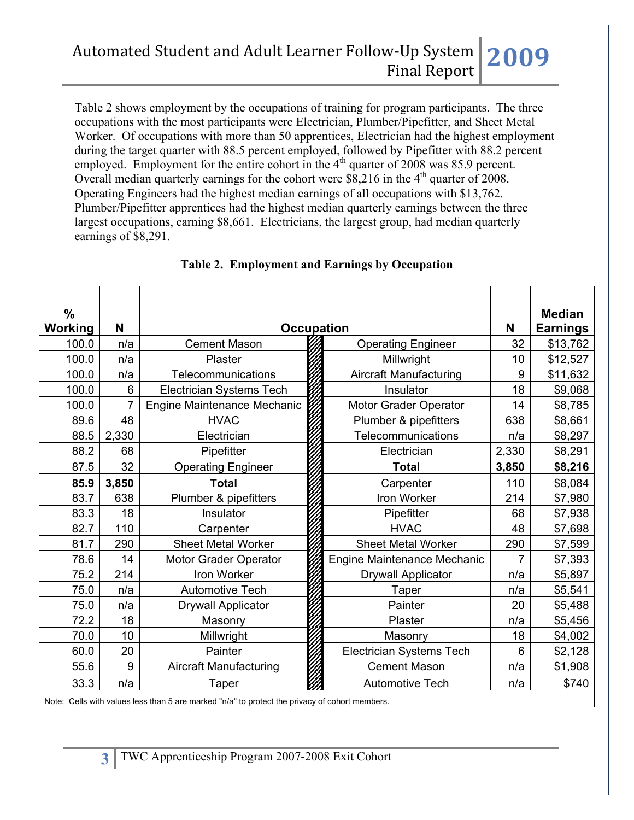Table 2 shows employment by the occupations of training for program participants. The three occupations with the most participants were Electrician, Plumber/Pipefitter, and Sheet Metal Worker. Of occupations with more than 50 apprentices, Electrician had the highest employment during the target quarter with 88.5 percent employed, followed by Pipefitter with 88.2 percent employed. Employment for the entire cohort in the  $4<sup>th</sup>$  quarter of 2008 was 85.9 percent. Overall median quarterly earnings for the cohort were  $\frac{$2,216}{}$  in the 4<sup>th</sup> quarter of 2008. Operating Engineers had the highest median earnings of all occupations with \$13,762. Plumber/Pipefitter apprentices had the highest median quarterly earnings between the three largest occupations, earning \$8,661. Electricians, the largest group, had median quarterly earnings of \$8,291.

| %       |       |                                    |  |                               | <b>Median</b> |                 |
|---------|-------|------------------------------------|--|-------------------------------|---------------|-----------------|
| Working | N     | <b>Occupation</b>                  |  |                               | N             | <b>Earnings</b> |
| 100.0   | n/a   | <b>Cement Mason</b>                |  | <b>Operating Engineer</b>     |               | \$13,762        |
| 100.0   | n/a   | <b>Plaster</b>                     |  | Millwright                    | 10            | \$12,527        |
| 100.0   | n/a   | Telecommunications                 |  | <b>Aircraft Manufacturing</b> | 9             | \$11,632        |
| 100.0   | 6     | Electrician Systems Tech           |  | Insulator                     | 18            | \$9,068         |
| 100.0   | 7     | <b>Engine Maintenance Mechanic</b> |  | Motor Grader Operator         | 14            | \$8,785         |
| 89.6    | 48    | <b>HVAC</b>                        |  | Plumber & pipefitters         | 638           | \$8,661         |
| 88.5    | 2,330 | Electrician                        |  | <b>Telecommunications</b>     | n/a           | \$8,297         |
| 88.2    | 68    | Pipefitter                         |  | Electrician                   | 2,330         | \$8,291         |
| 87.5    | 32    | <b>Operating Engineer</b>          |  | <b>Total</b>                  | 3,850         | \$8,216         |
| 85.9    | 3,850 | <b>Total</b>                       |  | Carpenter                     | 110           | \$8,084         |
| 83.7    | 638   | Plumber & pipefitters              |  | Iron Worker                   | 214           | \$7,980         |
| 83.3    | 18    | Insulator                          |  | Pipefitter                    | 68            | \$7,938         |
| 82.7    | 110   | Carpenter                          |  | <b>HVAC</b>                   | 48            | \$7,698         |
| 81.7    | 290   | <b>Sheet Metal Worker</b>          |  | <b>Sheet Metal Worker</b>     | 290           | \$7,599         |
| 78.6    | 14    | Motor Grader Operator              |  | Engine Maintenance Mechanic   | 7             | \$7,393         |
| 75.2    | 214   | Iron Worker                        |  | <b>Drywall Applicator</b>     | n/a           | \$5,897         |
| 75.0    | n/a   | <b>Automotive Tech</b>             |  | Taper                         | n/a           | \$5,541         |
| 75.0    | n/a   | <b>Drywall Applicator</b>          |  | Painter                       | 20            | \$5,488         |
| 72.2    | 18    | Masonry                            |  | Plaster                       | n/a           | \$5,456         |
| 70.0    | 10    | Millwright                         |  | Masonry                       | 18            | \$4,002         |
| 60.0    | 20    | Painter                            |  | Electrician Systems Tech      | 6             | \$2,128         |
| 55.6    | 9     | <b>Aircraft Manufacturing</b>      |  | <b>Cement Mason</b>           | n/a           | \$1,908         |
| 33.3    | n/a   | Taper                              |  | <b>Automotive Tech</b>        | n/a           | \$740           |

### **Table 2. Employment and Earnings by Occupation**

Note: Cells with values less than 5 are marked "n/a" to protect the privacy of cohort members.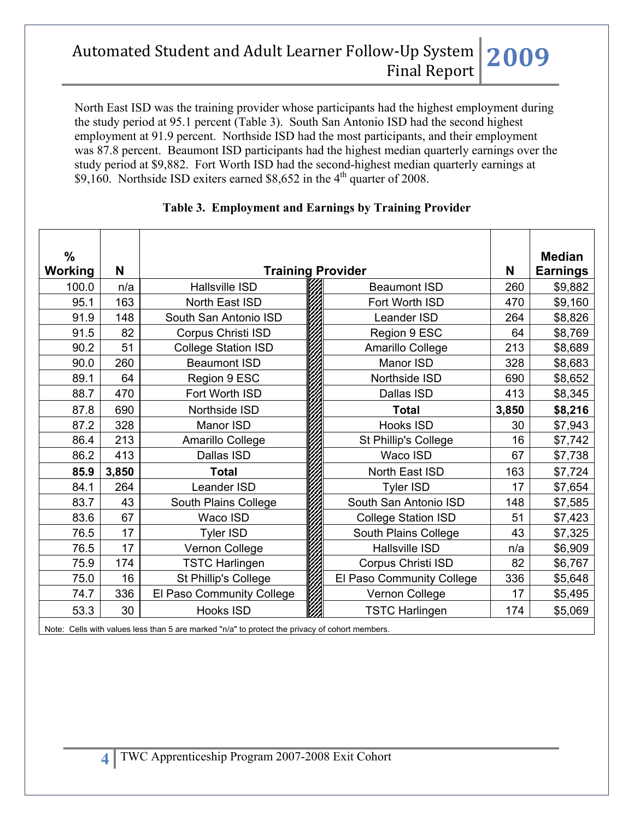North East ISD was the training provider whose participants had the highest employment during the study period at 95.1 percent (Table 3). South San Antonio ISD had the second highest employment at 91.9 percent. Northside ISD had the most participants, and their employment was 87.8 percent. Beaumont ISD participants had the highest median quarterly earnings over the study period at \$9,882. Fort Worth ISD had the second-highest median quarterly earnings at \$9,160. Northside ISD exiters earned \$8,652 in the  $4<sup>th</sup>$  quarter of 2008.

| $\frac{0}{0}$<br>Working | N     | <b>Training Provider</b>   |  |                            | N     | <b>Median</b><br><b>Earnings</b> |
|--------------------------|-------|----------------------------|--|----------------------------|-------|----------------------------------|
| 100.0                    | n/a   | <b>Hallsville ISD</b>      |  | <b>Beaumont ISD</b>        | 260   | \$9,882                          |
| 95.1                     | 163   | North East ISD             |  | Fort Worth ISD             | 470   | \$9,160                          |
| 91.9                     | 148   | South San Antonio ISD      |  | Leander ISD                | 264   | \$8,826                          |
| 91.5                     | 82    | Corpus Christi ISD         |  | Region 9 ESC               | 64    | \$8,769                          |
| 90.2                     | 51    | <b>College Station ISD</b> |  | Amarillo College           | 213   | \$8,689                          |
| 90.0                     | 260   | <b>Beaumont ISD</b>        |  | Manor ISD                  | 328   | \$8,683                          |
| 89.1                     | 64    | Region 9 ESC               |  | Northside ISD              | 690   | \$8,652                          |
| 88.7                     | 470   | Fort Worth ISD             |  | Dallas ISD                 | 413   | \$8,345                          |
| 87.8                     | 690   | Northside ISD              |  | <b>Total</b>               | 3,850 | \$8,216                          |
| 87.2                     | 328   | Manor ISD                  |  | <b>Hooks ISD</b>           | 30    | \$7,943                          |
| 86.4                     | 213   | Amarillo College           |  | St Phillip's College       | 16    | \$7,742                          |
| 86.2                     | 413   | Dallas ISD                 |  | Waco ISD                   | 67    | \$7,738                          |
| 85.9                     | 3,850 | <b>Total</b>               |  | North East ISD             | 163   | \$7,724                          |
| 84.1                     | 264   | <b>Leander ISD</b>         |  | <b>Tyler ISD</b>           | 17    | \$7,654                          |
| 83.7                     | 43    | South Plains College       |  | South San Antonio ISD      | 148   | \$7,585                          |
| 83.6                     | 67    | Waco ISD                   |  | <b>College Station ISD</b> | 51    | \$7,423                          |
| 76.5                     | 17    | <b>Tyler ISD</b>           |  | South Plains College       | 43    | \$7,325                          |
| 76.5                     | 17    | Vernon College             |  | <b>Hallsville ISD</b>      | n/a   | \$6,909                          |
| 75.9                     | 174   | <b>TSTC Harlingen</b>      |  | Corpus Christi ISD         | 82    | \$6,767                          |
| 75.0                     | 16    | St Phillip's College       |  | El Paso Community College  | 336   | \$5,648                          |
| 74.7                     | 336   | El Paso Community College  |  | Vernon College             | 17    | \$5,495                          |
| 53.3                     | 30    | <b>Hooks ISD</b>           |  | <b>TSTC Harlingen</b>      | 174   | \$5,069                          |

#### **Table 3. Employment and Earnings by Training Provider**

Note: Cells with values less than 5 are marked "n/a" to protect the privacy of cohort members.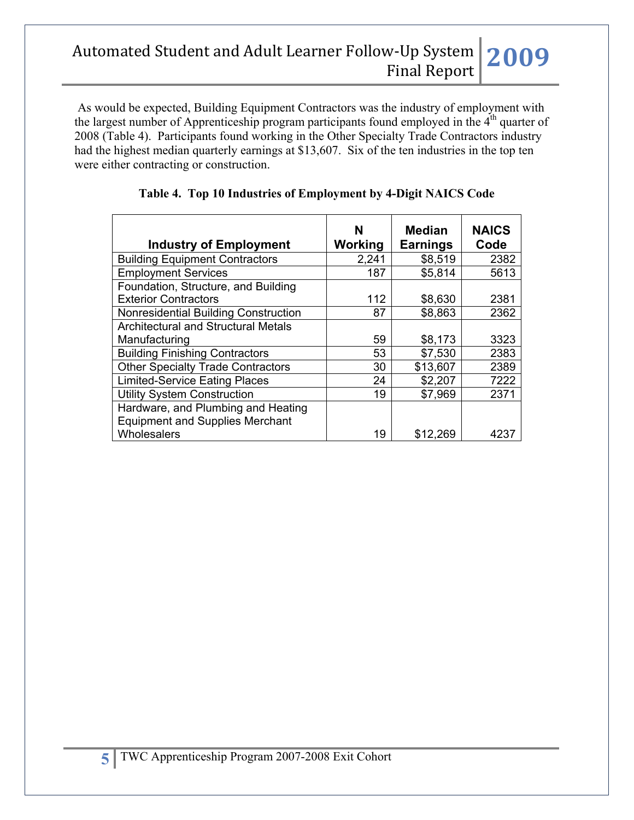As would be expected, Building Equipment Contractors was the industry of employment with the largest number of Apprenticeship program participants found employed in the 4<sup>th</sup> quarter of 2008 (Table 4). Participants found working in the Other Specialty Trade Contractors industry had the highest median quarterly earnings at \$13,607. Six of the ten industries in the top ten were either contracting or construction.

| <b>Industry of Employment</b>                                                | N<br>Working | <b>Median</b><br><b>Earnings</b> | <b>NAICS</b><br>Code |
|------------------------------------------------------------------------------|--------------|----------------------------------|----------------------|
| <b>Building Equipment Contractors</b>                                        | 2,241        | \$8,519                          | 2382                 |
| <b>Employment Services</b>                                                   | 187          | \$5,814                          | 5613                 |
| Foundation, Structure, and Building<br><b>Exterior Contractors</b>           | 112          | \$8,630                          | 2381                 |
| Nonresidential Building Construction                                         | 87           | \$8,863                          | 2362                 |
| <b>Architectural and Structural Metals</b>                                   |              |                                  |                      |
| Manufacturing                                                                | 59           | \$8,173                          | 3323                 |
| <b>Building Finishing Contractors</b>                                        | 53           | \$7,530                          | 2383                 |
| <b>Other Specialty Trade Contractors</b>                                     | 30           | \$13,607                         | 2389                 |
| <b>Limited-Service Eating Places</b>                                         | 24           | \$2,207                          | 7222                 |
| <b>Utility System Construction</b>                                           | 19           | \$7,969                          | 2371                 |
| Hardware, and Plumbing and Heating<br><b>Equipment and Supplies Merchant</b> |              |                                  |                      |
| Wholesalers                                                                  | 19           | \$12,269                         | 4237                 |

**Table 4. Top 10 Industries of Employment by 4-Digit NAICS Code**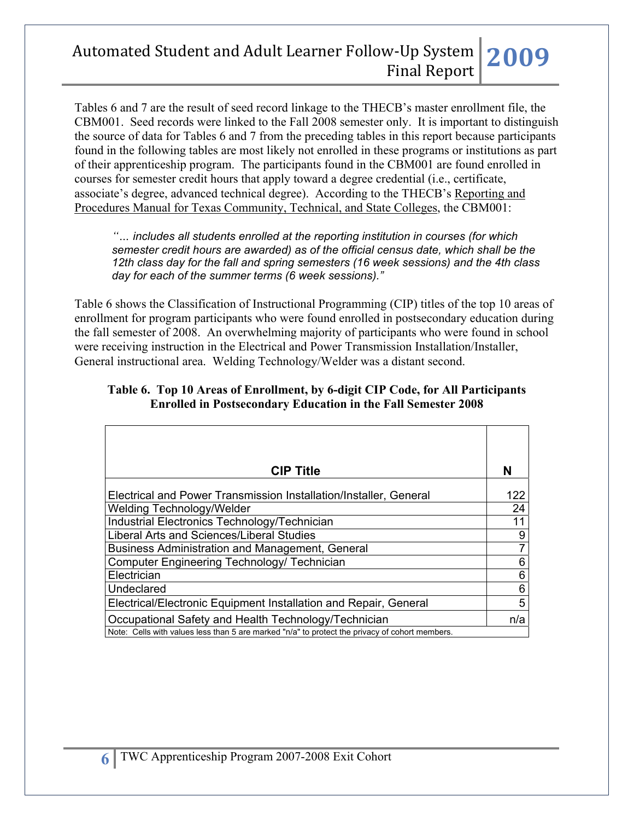Tables 6 and 7 are the result of seed record linkage to the THECB's master enrollment file, the CBM001. Seed records were linked to the Fall 2008 semester only. It is important to distinguish the source of data for Tables 6 and 7 from the preceding tables in this report because participants found in the following tables are most likely not enrolled in these programs or institutions as part of their apprenticeship program. The participants found in the CBM001 are found enrolled in courses for semester credit hours that apply toward a degree credential (i.e., certificate, associate's degree, advanced technical degree). According to the THECB's Reporting and Procedures Manual for Texas Community, Technical, and State Colleges, the CBM001:

*"… includes all students enrolled at the reporting institution in courses (for which semester credit hours are awarded) as of the official census date, which shall be the 12th class day for the fall and spring semesters (16 week sessions) and the 4th class day for each of the summer terms (6 week sessions)."* 

Table 6 shows the Classification of Instructional Programming (CIP) titles of the top 10 areas of enrollment for program participants who were found enrolled in postsecondary education during the fall semester of 2008. An overwhelming majority of participants who were found in school were receiving instruction in the Electrical and Power Transmission Installation/Installer, General instructional area. Welding Technology/Welder was a distant second.

#### **Table 6. Top 10 Areas of Enrollment, by 6-digit CIP Code, for All Participants Enrolled in Postsecondary Education in the Fall Semester 2008**

| <b>CIP Title</b>                                                                               | N   |
|------------------------------------------------------------------------------------------------|-----|
| Electrical and Power Transmission Installation/Installer, General                              | 122 |
| Welding Technology/Welder                                                                      | 24  |
| Industrial Electronics Technology/Technician                                                   | 11  |
| Liberal Arts and Sciences/Liberal Studies                                                      | 9   |
| Business Administration and Management, General                                                | 7   |
| Computer Engineering Technology/ Technician                                                    | 6   |
| Electrician                                                                                    | 6   |
| Undeclared                                                                                     | 6   |
| Electrical/Electronic Equipment Installation and Repair, General                               | 5   |
| Occupational Safety and Health Technology/Technician                                           | n/a |
| Note: Cells with values less than 5 are marked "n/a" to protect the privacy of cohort members. |     |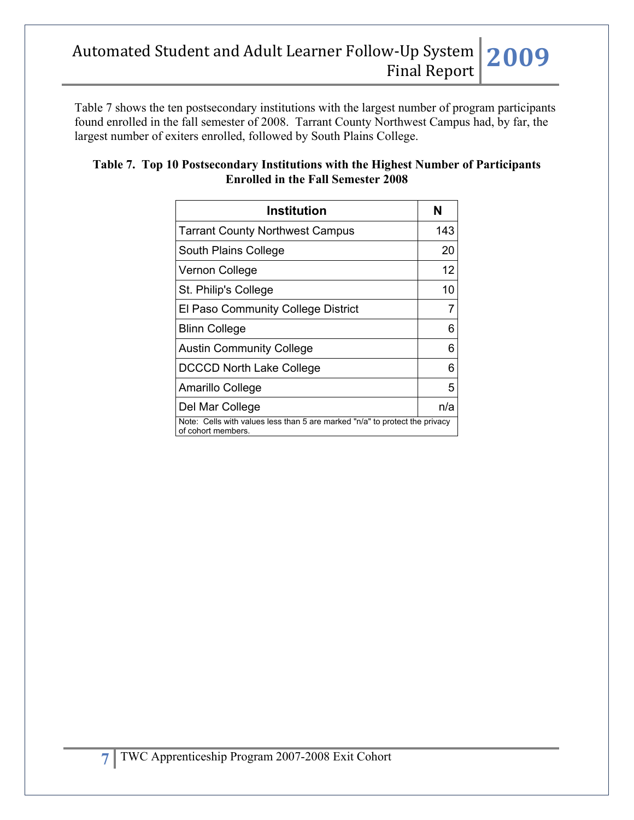Table 7 shows the ten postsecondary institutions with the largest number of program participants found enrolled in the fall semester of 2008. Tarrant County Northwest Campus had, by far, the largest number of exiters enrolled, followed by South Plains College.

| Table 7. Top 10 Postsecondary Institutions with the Highest Number of Participants |
|------------------------------------------------------------------------------------|
| <b>Enrolled in the Fall Semester 2008</b>                                          |
|                                                                                    |

| Institution                                                                                       | N   |  |
|---------------------------------------------------------------------------------------------------|-----|--|
| <b>Tarrant County Northwest Campus</b>                                                            | 143 |  |
| South Plains College                                                                              | 20  |  |
| Vernon College                                                                                    | 12  |  |
| St. Philip's College                                                                              | 10  |  |
| El Paso Community College District                                                                |     |  |
| <b>Blinn College</b>                                                                              | 6   |  |
| <b>Austin Community College</b>                                                                   | 6   |  |
| <b>DCCCD North Lake College</b>                                                                   | 6   |  |
| Amarillo College                                                                                  | 5   |  |
| Del Mar College                                                                                   | n/a |  |
| Note: Cells with values less than 5 are marked "n/a" to protect the privacy<br>of cohort members. |     |  |